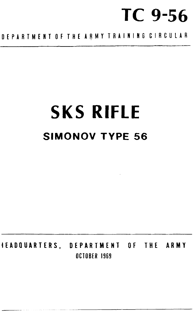# **TC** 9-56

DEPARTMENT OF THE ARMY TRAINING CIRCULAR

# **SKS RIFLE SIMONOV TYPE 56**

iEADQUARTERS, DEPARTMENT OF THE ARMY OCTOBER 1969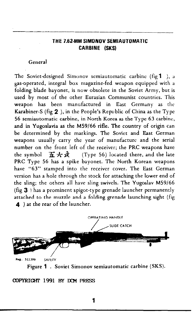# **THE 7.62~MM SIMONOV SEMIAUTOMATIC CARBINE (SKS)**

## General

The Soviet-designed Simonov semiautomatic carbine (fig  $1$ ), a gas-operated, integral box magazine-fed weapon equipped with a folding blade bayonet, is now obsolete in the Soviet Army, but is used by most of the other Eurasian Communist countries. This weapon has been manufactured in East Germany as the Karabiner-S (fig 2 ), in the People's Republic of China as the Type 56 semiautomatic carbine, in North Korea as the Type 63 carbine, and in Yugoslavia as the M59/66 rifle. The country of origin can be determined by the markings. The Soviet and East German weapons usually carry the year of manufacture and the serial number on the front left of the receiver; the PRC weapons have the symbol  $\vec{\mathbf{\pi}} \star \vec{\mathbf{\pi}}$  (Type 56) located there, and the late PRC Type 56 has a spike bayonet. The North Korean weapons have "63" stamped into the receiver cover. The East German version has a hole through the stock for attaching the lower end of the sling; the others all have sling swivels. The Yugoslav M59/66 (fig  $3$  ) has a prominent spigot-type grenade launcher permanently attached to the muzzle and a folding grenade launching sight (fig 4 ) at the rear of the launcher.



Figure 1. Soviet Simonov semiautomatic carbine (SKS).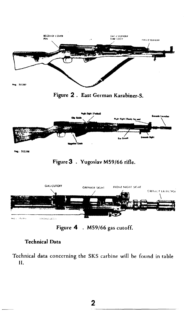





**Seg. 511398** 





Figure 4 . M59/66 gas cutoff.

# Technical Data

Technical data concerning the SKS carbine will be found in table II.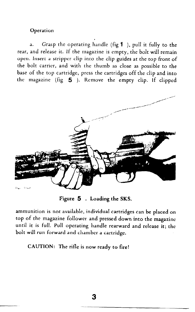# Operation

a. Grasp the operating handle (fig  $1$ ), pull it fully to the rear, and release it. If the magazine is empty, the bolt will remain open. Insert a stripper clip into the clip guides at the top front of the bolt carrier, and with the thumb as close as possible to the base of the top cartridge, press the cartridges off the clip and into the magazine (fig 5 ). Remove the empty clip. If clipped



Figure 5 . Loading **the SKS.** 

ammunition is not available, individual cartridges can be placed on top of the magazine follower and pressed down into the magazine until it is full. Pull operating handle rearward and release it; the bolt will run forward and chamber a cartridge.

CAUTION: **The rifle is now ready to fire!**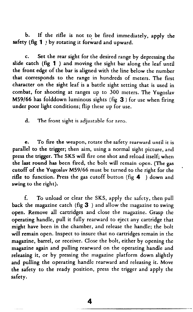b. If the rifle is not to be fired immediately, apply the safety (fig 1 ) by rotating it forward and upward.

**C.** Set the rear sight for the desired range by depressing the slide catch (fig  $1$  ) and moving the sight bar along the leaf until the front edge of the bar is aligned with the line below the number that corresponds to the range in hundreds of meters. The first character on the sight leaf is a battle sight setting that is **used** in combat, for shooting at ranges up to 300 meters. The Yugoslav M59/66 has folddown luminous sights (fig  $3$ ) for use when firing under poor light conditions; flip these up for use.

d. The front sight is adjustable for zero.

**e.** To fire the weapon, rotate the safety rearward until it is parallel to the trigger; then aim, using a normal sight picture, and press the trigger. The SKS will fire one shot and reload itself; when the last round has been fired, the bolt will remain open. (The gas cutoff of the Yugoslav M59/66 must be turned to the right for the rifle to function. Press the gas cutoff button (fig  $4$ ) down and swing to the right).

f. To unload or clear the SKS, apply the safety, then pull back the magazine catch (fig  $3$ ) and allow the magazine to swing open. Remove all cartridges and close the magazine. Grasp the operating handle, pull it fully rearward to eject any cartridge that might have been in the chamber, and release the handle; the bolt will remain open. Inspect to insure that no cartridges remain in the magazine, barrel, or receiver. Close the bolt, either by opening the magazine again and pulling rearward on the operating handle and releasing it, or by pressing the magazine platform down slightly and pulling the operating handle rearward and releasing it. Move the safety to the ready position, press the trigger and apply the safety.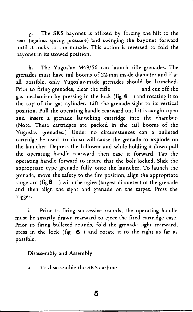g- The SKS bayonet is affixed by forcing the hilt to the rear (against spring pressure) 'and swinging the bayonet forward until it locks to the muzzle. This action is reversed to fold the bayonet in its stowed position.

.h. The Yugoslav M49/56 can launch rifle grenades. The grenades must have tail booms of 22-mm inside diameter and if at all possible, only Yugoslav-made grenades should be launched. Prior to firing grenades, clear the rifle and cut off the gas mechanism by pressing in the lock (fig  $4$ ) and rotating it to the top of the gas cylinder. Lift the grenade sight to its vertical position. Pull the operating handle rearward until it is caught open and insert a grenade launching cartridge into the chamber. (Note: These cartridges are packed in the tail booms of the Yugoslav grenades.) Under no circumstances can a bulleted cartridge be used; to do so will cause the grenade to explode on the launcher. Depress the follower and while holding it down pull the operating handle rearward then ease it forward. Tap the operating handle forward to insure that the bolt locked. Slide the appropriate type grenade fully onto the launcher. To launch the grenade, move the safety to the fire position, align the appropriate range arc (fig $6$ ) with the ogive (largest diameter) of the grenade and then align the sight and grenade on the target. Press the trigger.

i. Prior to firing successive rounds, the operating handle must be smartly drawn rearward to eject the fired cartridge case. Prior to firing bulleted rounds, fold the grenade sight rearward, press in the lock (fig  $6$  ) and rotate it to the right as far as possible.

# Disassembly and Assembly

a. To disassemble the SKS carbine: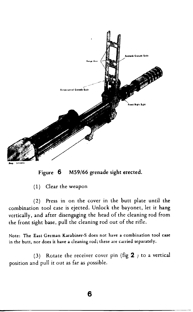

Figure 6 M59/66 grenade sight erected.

(1) Clear the weapon

(2) Press in on the cover in the butt plate until the combination tool case is ejected. Unlock the bayonet, let it hang vertically, and after disengaging the head of the cleaning rod from the front sight base, pull the cleaning rod out of the rifle.

Note: The East German Karabiner-S does not have a combination tool case in the butt, nor does it have a cleaning rod; these are carried separately.

(3) Rotate the receiver cover pin (fig  $2$  ) to a vertical position and pull it out as far as possible.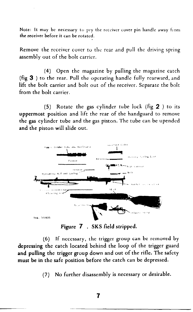Note: It may be necessary to pry the receiver cover pin handle away from the receiver before it can be rotated.

Remove the rcceivcr cover to the rear and pull the driving spring assembly out of the bolt carrier.

(4) Open the magazine by pulling the magazine catch (fig 3 ) to the rear. Pull the operating handle fully rearward, and lift the bolt carrier and bolt out of the receiver. Separate the bolt from the bolt carrier.

(5) Rotate the gas cylinder tube lock (fig  $2$ ) to its uppermost position and lift the rear of the handguard to remove the gas cylinder tube and the gas piston. The tube can be upended and the piston will slide out.



Figure 7 . SKS field stripped.

(6) If necessary, the trigger group can be removed by depressing the catch located behind the loop of the trigger guard and pulling the trigger group down and out of the rifle. The safety must be in the safe position before the catch can be depressed.

(7) No further disassembly is necessary or desirable.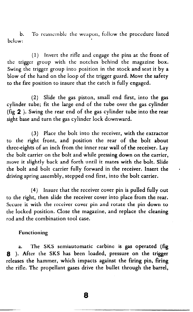b. To reassemble the weapon, follow the procedure listed below:

(1) Invert the rifle and engage the pins at the front of the trigger group with the notches behind the magazine box. Swing the trigger group into position in the stock and seat it by a blow of the hand on the loop of the trigger guard. Move the safety to the fire position to insure that the catch is fully engaged.

(2) Slide the gas piston, small end first, into the gas cylinder tube; fit the large end of the tube over the gas cylinder (fig 2 ). Swing the rear end of the gas cylinder tube into the rear sight base and turn the gas cylinder lock downward.

(3) Place the bolt into the receiver, with the extractor to the right front, and position the rear of the bolt about three-eights of an inch from the inner rear wall of the receiver. Lay the bolt carrier on the bolt and while pressing down on the carrier, move it slightly back and forth until it mates with the bolt. Slide the bolt and bolt carrier fully forward in the receiver. Insert the driving spring assembly, stepped end first, into the bolt carrier.

(4) Insure that the receiver cover pin is pulled fully out to the right, then slide the receiver cover into place from the rear. Secure it with the receiver cover pin and rotate the pin down to the locked position. Close the magazine, and replace the cleaning rod and the combination tool case.

# Functioning

The SKS semiautomatic carbine is gas operated (fig 8 ). After the SKS has been loaded, pressure on the trigger releases the hammer, which impacts against the firing pin, firing the rifle. The propellant gases drive the bullet through the barrel,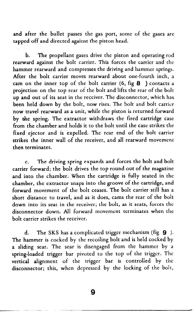and after the bullet passes the gas port, some of the gases are tapped off and directed against the piston head.

b. The propellant gases drive the piston and operating rod rearward against the bolt carrier. This forces the carrier and the hammer rearward and compresses the driving and hammer springs. After the bolt carrier moves rearward about one-fourth inch, a cam on the inner top of the bolt carrier  $(6, fig 8)$  contacts a projection on the top rear of the bolt and lifts the rear of the bolt up and out of its seat in the receiver. The disconnector, which has been held down by the bolt, now rises. The bolt and bolt carrier now travel rearward as a unit, while the piston is returned forward by the spring. The extractor withdraws the fired cartridge case from the chamber and holds it to the bolt until the case strikes the fixed ejector and is expelled. The rear end of the bolt carrier strikes the inner wall of the receiver, and all rearward movement then terminates.

**C.** The driving spring expands and forces the bolt and bolt carrier forward; the bolt drives the top round out of the magazine and into the chamber. When the cartridge is fully seated in the chamber, the extractor snaps into the groove of the cartridge, and forward movement of the bolt ceases. The bolt carrier still has a short distance to travel, and as it does, cams the rear of the bolt down into its seat in the receiver; the bolt, as it scats, forces the disconnector down. All forward movement terminates when the bolt carrier strikes the receiver.

d. The SKS has a complicated trigger mechanism (fig  $9$ ). The hammer is cocked by the recoiling bolt and is held cocked by a sliding sear. The sear is disengaged from the hammer by a spring-loaded trigger bar pivoted to the top of the trigger. The vertical alignment of the trigger bar is controlled by the disconnector; this, when depressed by the locking of the bolt,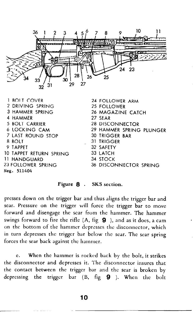

## **Figure 8 .** SKS section.

presses down on the trigger bar and thus aligns the trigger bar and scar. Prcssurc on the trigger will force the trigger bar to move forward and disengage the scar from the hammer. The hammer swings forward to fire the rifle  $(A, fig 9)$ , and as it does, a cam on the bottom of the hammer depresses the disconnector, which in turn dcprcsses the trigger bar below the scar. The scar spring forces the sear back against the hammer.

e. When the hammer is rocked back by the bolt, it strikes the disconnector and depresses it. The disconnector insures that the contact bctwecn the trigger bar and the sear is broken by depressing the trigger bar  $(B, f)$  fig  $\mathbf{9}$ ). When the bolt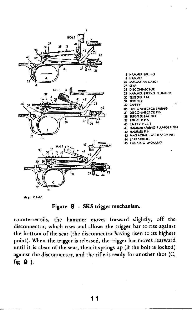

- **3 HAMMER SPRING**
- **4 HAMMER**
- **26 MAGAZINE CATCH**
- **27 SEAR**
- **28 DISCONNECTOR**
- **29 HAMMER SPRING PLUNGER**
- **30 TRIGGER BAR**
- **31 TRIGGER 32 SAFETY**
- **36 DISCONNECTOR SPRING**
- **37 DISCONNECTOR PIN**
- **38 TRIGGER 8M PIN**
- **39 TRIGGER PIN**
- **40 SAfEW PIVOT**
- **4, HAMMER SPRING PLUNGER PIN**
- **42 HAMMER PIN \_**
- **43 MAGAZINE CATCH STOP PIN**
- **U SEAR SPRING**
- **45 LOCKING SHOULDER**

Neg. 511405

Figure 9 . SKS trigger mechanism.

counterrecoils, the hammer moves forward slightly, off the disconnector, which rises and allows the trigger bar to rise against the bottom of the sear (the disconnector having risen to its highest point). When the trigger is released, the trigger bar moves rearward until it is clear of the sear, then it springs up (if the bolt is locked) against the disconnector, and the rifle is ready for another shot (C, fig 9 1.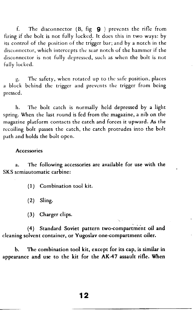f. The disconnector  $(B, f \circ g)$  prevents the rifle from firing if the bolt is not fully locked. It does this in two ways: by its control of the position of the trigger bar; and by a notch in the disconnector, which intercepts the scar notch of the hammer if the disconnector is not fully dcprcsscd, such as when the bolt is not fully locked.

6. The safety, when rotated up to the safe position, places a block behind the trigger and prevents the trigger from being pressed.

The bolt catch is normally held depressed by a light spring. When the last round is fed from the magazine, a nib on the magazine platform contacts the catch and forces it upward. As the recoiling bolt passes the catch, the catch protrudes into the bolt path and holds the bolt open.

## **Accessories**

a. The following accessories arc available for use with the SKS semiautomatic carbine:

- (1) Combination tool kit.
- (2) Sling.
- (3) Charger clips.

(4) Standard Soviet pattern two-compartment oil and cleaning solvent container, or Yugoslav one-compartment oiler.

'..,

b. The combination tool kit, except for its cap, is similar in appearance and use to the kit for the AK-47 assault rifle. When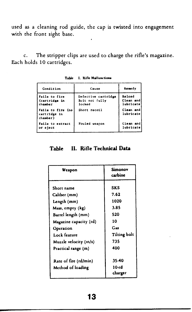used as a cleaning rod guide, the cap is twisted into engagement with the front sight base.

**C.** The stripper clips are used to charge the rifle's magazine. Each holds 10 cartridges.

| Condition                                     | Cause                                           | Remedy                           |
|-----------------------------------------------|-------------------------------------------------|----------------------------------|
| Fails to fire<br>(cartridge in<br>chamber     | Defective cartridge<br>Bolt not fully<br>locked | Reload<br>Clean and<br>lubricate |
| Fails to fire (no<br>cartridge in<br>chamber) | Short recoil                                    | Clean and<br>lubricate           |
| <b>Fails</b> to extract<br>or eject           | Fouled weapon                                   | Clean and<br>lubricate           |

Table I. Rifle Malfunctions

# **Table** II. **Rifle** Technical **Data**

| Weapon                 | Simonov<br>carbine |  |
|------------------------|--------------------|--|
| Short name             | <b>SKS</b>         |  |
| Caliber (mm)           | 7.62               |  |
| Length (mm)            | 1020               |  |
| Mass, empty (kg)       | 3.85               |  |
| Barrel length (mm)     | 520                |  |
| Magazine capacity (rd) | 10                 |  |
| Operation              | Gas                |  |
| Lock feature           | Tilting bolt       |  |
| Muzzle velocity (In/s) | 735                |  |
| Practical range (m)    | 400                |  |
| Rate of fire (rd/min)  | 35-40              |  |
| Method of loading      | 10-rd<br>charger   |  |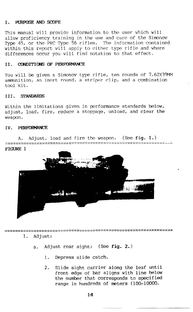#### I. PURPOSE AND SCOPE

This manual will provide information to the user which will allow proficiency training in the use and care of the Simonov Type 45, or the PRC Type 56 rifles. The information contained within this report will apply to either type rifle and where differences occur you will find notation to that effect.

#### II. CONDITIONS OF PERFORMANCE

You will be given a Simonov type rifle, ten rounds of 7.62X39MM ammunition, an inert round, a striper clip, and a combination tool kit.

## TTT. STANDARDS

Within the limitations given in performance standards below, adjust, load, fire, reduce a stoppage, unload, and clear the weapon.

#### **IV. PERFORMANCE**

A. Adjust, load and fire the weapon. (See fig. 1.) \_\_\_\_\_\_\_\_\_\_\_\_\_\_\_\_\_\_\_\_-\_\_\_\_--------\_\_\_--\_\_\_\_---\_\_\_\_\_\_----------\_-

#### FIGURE 1



-----------------------====------==============================

- 1. Adjust:
	- a. Adjust rear sight: (See fig. 2.)
		- 1. Depress slide catch.
		- 2. Slide sight carrier along the leaf until front edge of bar aligns with line below the number that corresponds to specified range in hundreds of meters (100-10000.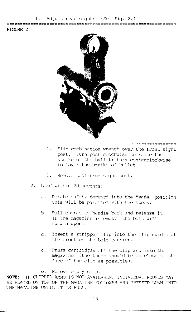Is. Adjust rear sight: (See **fig. 2.)**  

**FIGURE 2** 



- 1. Slip combination wrench over the front sight post. Turn post clockwise to raise the strike of the bullet; turn conterclockwise to lower the strike of bullet.
	- **2.** Remove tool from sight post.
- **2.** Loac' within 20 **seconds:** 
	- a. Rotate safety forward into the "safe" position this will be parallel with the sto**ck.**
	- b. Pull operatin:! handle back and release it. If the **magazine** is empty, the bolt will remain open.
	- **C.** Insert a stripper clip into the clip guides at the front of the bolt carrier.
	- d. Press cartridges off the clip and into the magazine, (the thumb should be as close to the face of the clip as possible).

e. Remove empty clip.

**NOTE:** IF CLIPPED AMMO IS NOT AVAILABLE, INDIVIDUAL ROUNDS MAY BE PLACED ON TOP OF THE MAGAZINE FOLLOWER AND PRESSED DOWN INTO THE MAGAZINE UNTIL IT IS FULL.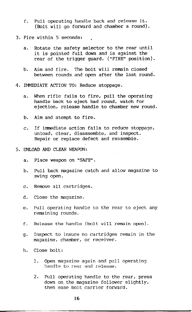- f. Pull operating handle back and release it. (Dolt will go forward and chamber a round).
- 3. Fire within 5 seconds:
	- a. Rotate the safety selector to the rear until it is pointed full down and is against the rear of the trigger guard. ("FIRE" position).
	- b. Aim and fire. The bolt will remain closed between rounds and open after the last round.
- 4. IMMEDIATE ACTION TO: Reduce stoppage.
	- a. When rifle fails to fire, pull the operating handle back to eject bad round, watch for ejection, release handle to chamber new round.
	- b. Aim and atempt to fire.
	- **C.** If immediate action fails to reduce stoppage, unload, clear, disassemble, and inspect. Repair or replace defect and reasemble.
- 5. UNLOAD AND CLEAR WEAPON:
	- a. Place weapon on "SAFE".
	- b. Pull back magazine catch and allow magazine to swing open.
	- **C.**  Remove all cartridges
	- d. Close the magazine.
	- e. Pull operating handle to the rear to eject any remaining rounds.
	- f. Release the handle (bolt will remain open).
	- g. Inspect to insure no cartridges remain in the magazine, chamber, or receiver.
	- h. Close bolt:
		- 1. Open magazine again and pull operating handle to rear and release.
		- 2. Pull operating handle to the rear, press down on the magazine follower slightly, then ease bolt carrier forward.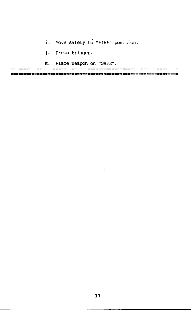- i. Move safety to "FIRE" position.
- j. Press trigger.

# k. Place weapon on "SAFE".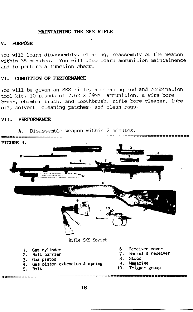## MAINTAINING THE SKS RIFLE

## **PURPOSE**

You will learn disassembly, cleaning, reassembly of the weapon within 35 minutes. You will also learn ammunition maintainence and to perform a function check.

## VI. CONDITION OF PERFORMANCE

You will be given an SKS rifle, a cleaning rod and combination tool kit, 10 rounds of 7.62 X 3MM ammunition, a wire bore brush, chamber brush, and toothbrush, rifle bore cleaner, lube oil, solvent, cleaning patches, and clean rags.

## VII. PERFOEMANCE

A. Disassemble weapon within 2 minutes.

---------\_------------\_\_-\_\_\_----\_\_\_\_---------~~~~~~~~~-\_\_\_\_\_-~~~ \_\_\_\_-\_\_\_\_\_\_\_\_\_\_\_\_\_\_\_\_------\_\_-------\_--\_\_\_\_--

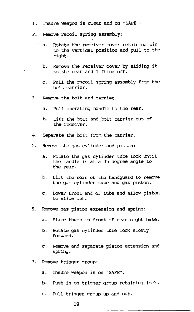- 1. Insure weapon is clear and on "SAFE".
- 2. Remove recoil spring assembly:
	- a. Rotate the receiver cover retaining pin to the vertical position and pull to the right.
	- b. Remove the receiver cover by sliding it to the rear and lifting off.
	- c. Pull the recoil spring assembly from the bolt carrier.
- 3. Remove the bolt and carrier.
	- a. Pull operating handle to the rear.
	- b. Lift the bolt and bolt carrier out of the receiver.
- 4. Separate the bolt from the carrier.
- 5. Remove the gas cylinder and piston:
	- a. Rotate the gas cylinder tube lock until the handle is at a 45 degree angle to the rear.
	- b. Lift the rear of the handguard to remove the gas cylinder tube and gas piston.
	- c. Lower front end of tube and allow piston to slide out.
- 6. Remove gas piston extension and spring:
	- a. Place thumb in front of rear sight base.
	- b. Rotate gas cylinder tube lock slowly forward.
	- **C.** Remove and separate piston extension and spring.
- 7. Remove trigger group:

~\_ ~\_\_ ~ -

- a. Insure weapon is on "SAFE".
- b. Push in on trigger group retaining lock.
- c. Pull trigger group up and out.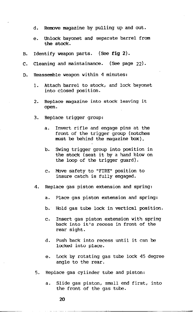- a. Remove magazine by pulling up and out.
- e. Unlock bayonet and separate barrel from the stock.
- B. Identify weapon parts. (See **fig 2).**
- **C.** Cleaning and maintainance. (See page 22).
- D. Reassemble weapon within 4 minutes:
	- 1. Attach barrel to stock, and lock bayonet into closed position.
	- 2. Replace magazine into stock leaving it open.
	- 3. Replace trigger group:
		- a. Invert rifle and engage pins at the front of the trigger group (notches must be behind the magazine box).
		- b. Swing trigger group into position in the stock (seat it by a hand blow on the loop of the trigger guard).
		- c. Move safety to "FIRE" position to insure catch is fully engaged.
	- 4. Replace gas piston extension and spring:
		- a. Place gas piston extension and spring:
		- b. Hold gas tube lock in vertical position.
		- **C.** Insert gas piston extension with spring back into it's recess in front of the rear sight.
		- d. Push back into recess until it can be locked into place.
		- e. Dock by rotating gas tube lock 45 degree angle to the rear.
	- 5. Replace gas cylinder tube and piston:
		- a. Slide gas piston, small end first, into the front of the gas tube.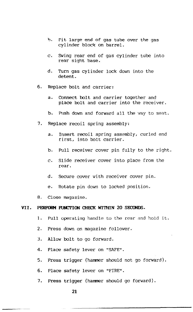- b. Fit large end of gas tube over the gas cylinder block on barrel.
- **C.** Swing rear end of gas cylinder tube into rear sight base.
- d. Turn gas cylinder lock down into the detent.
- 6. Replace bolt and carrier:
	- a. Connect bolt and carrier together and place bolt and carrier into the receiver.
	- b. Push down and forward all the way to seat.
- 7. Replace recoil spring assembly:
	- a. Insert recoil spring assembly, curled end first, into bolt carrier.
	- b. Pull receiver cover pin fully to the right.
	- **C.** Slide receiver cover into place from the rear.
	- d. Secure cover with receiver cover pin.
	- e. Rotate pin down to locked position.
- 8. Close magazine.

## VII. PERFORM FUNCTION CHECK WITHIN 20 SECONDS.

- 1. Pull operating handle to the rear and hold it.
- 2. Press down on magazine follower.
- 3. Allow bolt to go forward.
- 4. Place safety lever on "SAFE".
- 5. Press trigger (hammer should not go forward).
- 6. Place safety lever on "FIRE".
- 7. Press trigger (hamner should go forward).